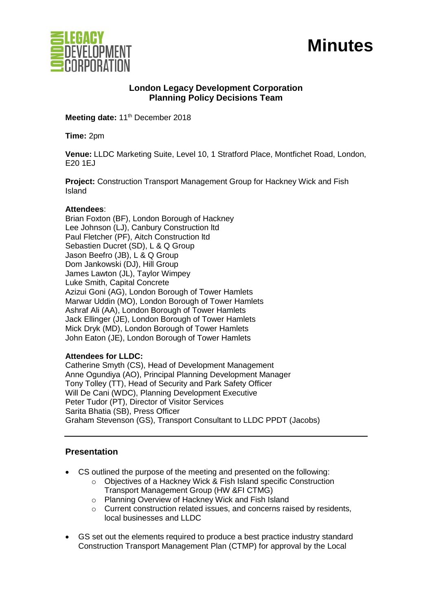

# **Minutes**

## **London Legacy Development Corporation Planning Policy Decisions Team**

Meeting date: 11<sup>th</sup> December 2018

**Time:** 2pm

**Venue:** LLDC Marketing Suite, Level 10, 1 Stratford Place, Montfichet Road, London, E20 1EJ

**Project:** Construction Transport Management Group for Hackney Wick and Fish Island

#### **Attendees**:

Brian Foxton (BF), London Borough of Hackney Lee Johnson (LJ), Canbury Construction ltd Paul Fletcher (PF), Aitch Construction ltd Sebastien Ducret (SD), L & Q Group Jason Beefro (JB), L & Q Group Dom Jankowski (DJ), Hill Group James Lawton (JL), Taylor Wimpey Luke Smith, Capital Concrete Azizui Goni (AG), London Borough of Tower Hamlets Marwar Uddin (MO), London Borough of Tower Hamlets Ashraf Ali (AA), London Borough of Tower Hamlets Jack Ellinger (JE), London Borough of Tower Hamlets Mick Dryk (MD), London Borough of Tower Hamlets John Eaton (JE), London Borough of Tower Hamlets

### **Attendees for LLDC:**

Catherine Smyth (CS), Head of Development Management Anne Ogundiya (AO), Principal Planning Development Manager Tony Tolley (TT), Head of Security and Park Safety Officer Will De Cani (WDC), Planning Development Executive Peter Tudor (PT), Director of Visitor Services Sarita Bhatia (SB), Press Officer Graham Stevenson (GS), Transport Consultant to LLDC PPDT (Jacobs)

### **Presentation**

- CS outlined the purpose of the meeting and presented on the following:
	- o Objectives of a Hackney Wick & Fish Island specific Construction Transport Management Group (HW &FI CTMG)
	- o Planning Overview of Hackney Wick and Fish Island
	- o Current construction related issues, and concerns raised by residents, local businesses and LLDC
- GS set out the elements required to produce a best practice industry standard Construction Transport Management Plan (CTMP) for approval by the Local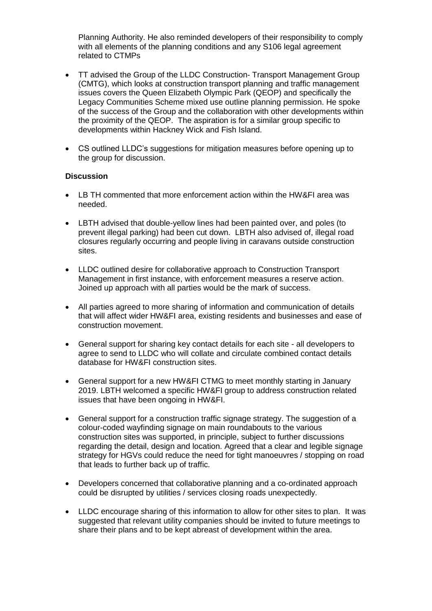Planning Authority. He also reminded developers of their responsibility to comply with all elements of the planning conditions and any S106 legal agreement related to CTMPs

- TT advised the Group of the LLDC Construction- Transport Management Group (CMTG), which looks at construction transport planning and traffic management issues covers the Queen Elizabeth Olympic Park (QEOP) and specifically the Legacy Communities Scheme mixed use outline planning permission. He spoke of the success of the Group and the collaboration with other developments within the proximity of the QEOP. The aspiration is for a similar group specific to developments within Hackney Wick and Fish Island.
- CS outlined LLDC's suggestions for mitigation measures before opening up to the group for discussion.

#### **Discussion**

- LB TH commented that more enforcement action within the HW&FI area was needed.
- LBTH advised that double-yellow lines had been painted over, and poles (to prevent illegal parking) had been cut down. LBTH also advised of, illegal road closures regularly occurring and people living in caravans outside construction sites.
- LLDC outlined desire for collaborative approach to Construction Transport Management in first instance, with enforcement measures a reserve action. Joined up approach with all parties would be the mark of success.
- All parties agreed to more sharing of information and communication of details that will affect wider HW&FI area, existing residents and businesses and ease of construction movement.
- General support for sharing key contact details for each site all developers to agree to send to LLDC who will collate and circulate combined contact details database for HW&FI construction sites.
- General support for a new HW&FI CTMG to meet monthly starting in January 2019. LBTH welcomed a specific HW&FI group to address construction related issues that have been ongoing in HW&FI.
- General support for a construction traffic signage strategy. The suggestion of a colour-coded wayfinding signage on main roundabouts to the various construction sites was supported, in principle, subject to further discussions regarding the detail, design and location. Agreed that a clear and legible signage strategy for HGVs could reduce the need for tight manoeuvres / stopping on road that leads to further back up of traffic.
- Developers concerned that collaborative planning and a co-ordinated approach could be disrupted by utilities / services closing roads unexpectedly.
- LLDC encourage sharing of this information to allow for other sites to plan. It was suggested that relevant utility companies should be invited to future meetings to share their plans and to be kept abreast of development within the area.